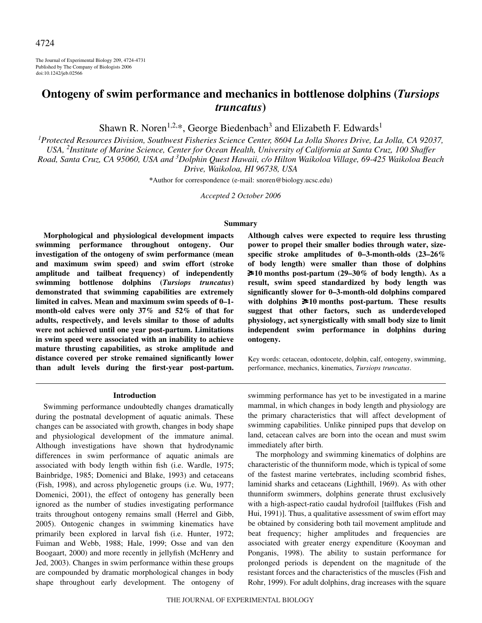The Journal of Experimental Biology 209, 4724-4731 Published by The Company of Biologists 2006 doi:10.1242/jeb.02566

# **Ontogeny of swim performance and mechanics in bottlenose dolphins (***Tursiops truncatus***)**

Shawn R. Noren<sup>1,2,\*</sup>, George Biedenbach<sup>3</sup> and Elizabeth F. Edwards<sup>1</sup>

*1 Protected Resources Division, Southwest Fisheries Science Center, 8604 La Jolla Shores Drive, La Jolla, CA 92037, USA, 2 Institute of Marine Science, Center for Ocean Health, University of California at Santa Cruz, 100 Shaffer Road, Santa Cruz, CA 95060, USA and 3 Dolphin Quest Hawaii, c/o Hilton Waikoloa Village, 69-425 Waikoloa Beach Drive, Waikoloa, HI 96738, USA*

**\***Author for correspondence (e-mail: snoren@biology.ucsc.edu)

*Accepted 2 October 2006*

## **Summary**

**Morphological and physiological development impacts swimming performance throughout ontogeny. Our investigation of the ontogeny of swim performance (mean and maximum swim speed) and swim effort (stroke amplitude and tailbeat frequency) of independently swimming bottlenose dolphins (***Tursiops truncatus***) demonstrated that swimming capabilities are extremely limited in calves. Mean and maximum swim speeds of 0–1 month-old calves were only 37% and 52% of that for adults, respectively, and levels similar to those of adults were not achieved until one year post-partum. Limitations in swim speed were associated with an inability to achieve mature thrusting capabilities, as stroke amplitude and distance covered per stroke remained significantly lower than adult levels during the first-year post-partum.**

#### **Introduction**

Swimming performance undoubtedly changes dramatically during the postnatal development of aquatic animals. These changes can be associated with growth, changes in body shape and physiological development of the immature animal. Although investigations have shown that hydrodynamic differences in swim performance of aquatic animals are associated with body length within fish (i.e. Wardle, 1975; Bainbridge, 1985; Domenici and Blake, 1993) and cetaceans (Fish, 1998), and across phylogenetic groups (i.e. Wu, 1977; Domenici, 2001), the effect of ontogeny has generally been ignored as the number of studies investigating performance traits throughout ontogeny remains small (Herrel and Gibb, 2005). Ontogenic changes in swimming kinematics have primarily been explored in larval fish (i.e. Hunter, 1972; Fuiman and Webb, 1988; Hale, 1999; Osse and van den Boogaart, 2000) and more recently in jellyfish (McHenry and Jed, 2003). Changes in swim performance within these groups are compounded by dramatic morphological changes in body shape throughout early development. The ontogeny of **Although calves were expected to require less thrusting power to propel their smaller bodies through water, sizespecific stroke amplitudes of 0–3-month-olds (23–26% of body length) were smaller than those of dolphins**  $\geq 10$  months post-partum (29–30% of body length). As a **result, swim speed standardized by body length was significantly slower for 0–3-month-old dolphins compared** with dolphins  $\geq 10$  months post-partum. These results **suggest that other factors, such as underdeveloped physiology, act synergistically with small body size to limit independent swim performance in dolphins during ontogeny.**

Key words: cetacean, odontocete, dolphin, calf, ontogeny, swimming, performance, mechanics, kinematics, *Tursiops truncatus*.

swimming performance has yet to be investigated in a marine mammal, in which changes in body length and physiology are the primary characteristics that will affect development of swimming capabilities. Unlike pinniped pups that develop on land, cetacean calves are born into the ocean and must swim immediately after birth.

The morphology and swimming kinematics of dolphins are characteristic of the thunniform mode, which is typical of some of the fastest marine vertebrates, including scombrid fishes, laminid sharks and cetaceans (Lighthill, 1969). As with other thunniform swimmers, dolphins generate thrust exclusively with a high-aspect-ratio caudal hydrofoil [tailflukes (Fish and Hui, 1991)]. Thus, a qualitative assessment of swim effort may be obtained by considering both tail movement amplitude and beat frequency; higher amplitudes and frequencies are associated with greater energy expenditure (Kooyman and Ponganis, 1998). The ability to sustain performance for prolonged periods is dependent on the magnitude of the resistant forces and the characteristics of the muscles (Fish and Rohr, 1999). For adult dolphins, drag increases with the square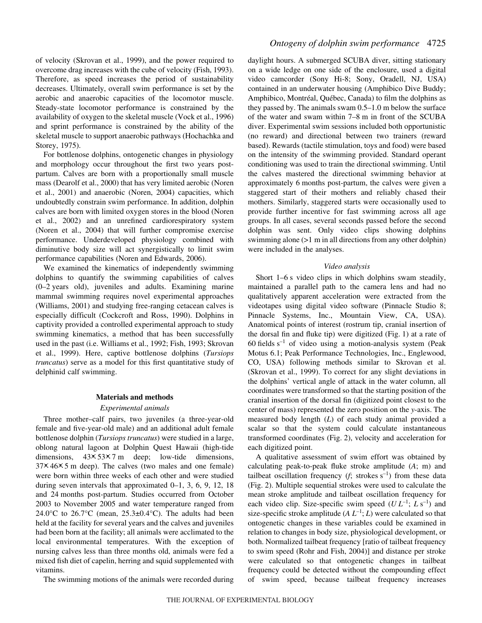of velocity (Skrovan et al., 1999), and the power required to overcome drag increases with the cube of velocity (Fish, 1993). Therefore, as speed increases the period of sustainability decreases. Ultimately, overall swim performance is set by the aerobic and anaerobic capacities of the locomotor muscle. Steady-state locomotor performance is constrained by the availability of oxygen to the skeletal muscle (Vock et al., 1996) and sprint performance is constrained by the ability of the skeletal muscle to support anaerobic pathways (Hochachka and Storey, 1975).

For bottlenose dolphins, ontogenetic changes in physiology and morphology occur throughout the first two years postpartum. Calves are born with a proportionally small muscle mass (Dearolf et al., 2000) that has very limited aerobic (Noren et al., 2001) and anaerobic (Noren, 2004) capacities, which undoubtedly constrain swim performance. In addition, dolphin calves are born with limited oxygen stores in the blood (Noren et al., 2002) and an unrefined cardiorespiratory system (Noren et al., 2004) that will further compromise exercise performance. Underdeveloped physiology combined with diminutive body size will act synergistically to limit swim performance capabilities (Noren and Edwards, 2006).

We examined the kinematics of independently swimming dolphins to quantify the swimming capabilities of calves  $(0-2 \text{ years}$  old), juveniles and adults. Examining marine mammal swimming requires novel experimental approaches (Williams, 2001) and studying free-ranging cetacean calves is especially difficult (Cockcroft and Ross, 1990). Dolphins in captivity provided a controlled experimental approach to study swimming kinematics, a method that has been successfully used in the past (i.e. Williams et al., 1992; Fish, 1993; Skrovan et al., 1999). Here, captive bottlenose dolphins (*Tursiops truncatus*) serve as a model for this first quantitative study of delphinid calf swimming.

# **Materials and methods**

#### *Experimental animals*

Three mother–calf pairs, two juveniles (a three-year-old female and five-year-old male) and an additional adult female bottlenose dolphin (*Tursiops truncatus*) were studied in a large, oblong natural lagoon at Dolphin Quest Hawaii (high-tide dimensions,  $43 \times 53 \times 7$  m deep; low-tide dimensions,  $37 \times 46 \times 5$  m deep). The calves (two males and one female) were born within three weeks of each other and were studied during seven intervals that approximated 0–1, 3, 6, 9, 12, 18 and 24 months post-partum. Studies occurred from October 2003 to November 2005 and water temperature ranged from 24.0 $\degree$ C to 26.7 $\degree$ C (mean, 25.3 $\pm$ 0.4 $\degree$ C). The adults had been held at the facility for several years and the calves and juveniles had been born at the facility; all animals were acclimated to the local environmental temperatures. With the exception of nursing calves less than three months old, animals were fed a mixed fish diet of capelin, herring and squid supplemented with vitamins.

The swimming motions of the animals were recorded during

daylight hours. A submerged SCUBA diver, sitting stationary on a wide ledge on one side of the enclosure, used a digital video camcorder (Sony Hi-8; Sony, Oradell, NJ, USA) contained in an underwater housing (Amphibico Dive Buddy; Amphibico, Montréal, Québec, Canada) to film the dolphins as they passed by. The animals swam  $0.5-1.0$  m below the surface of the water and swam within 7–8 m in front of the SCUBA diver. Experimental swim sessions included both opportunistic (no reward) and directional between two trainers (reward based). Rewards (tactile stimulation, toys and food) were based on the intensity of the swimming provided. Standard operant conditioning was used to train the directional swimming. Until the calves mastered the directional swimming behavior at approximately 6 months post-partum, the calves were given a staggered start of their mothers and reliably chased their mothers. Similarly, staggered starts were occasionally used to provide further incentive for fast swimming across all age groups. In all cases, several seconds passed before the second dolphin was sent. Only video clips showing dolphins swimming alone  $(>1$  m in all directions from any other dolphin) were included in the analyses.

## *Video analysis*

Short  $1-6s$  video clips in which dolphins swam steadily, maintained a parallel path to the camera lens and had no qualitatively apparent acceleration were extracted from the videotapes using digital video software (Pinnacle Studio 8; Pinnacle Systems, Inc., Mountain View, CA, USA). Anatomical points of interest (rostrum tip, cranial insertion of the dorsal fin and fluke tip) were digitized (Fig. 1) at a rate of 60 fields  $s^{-1}$  of video using a motion-analysis system (Peak Motus 6.1; Peak Performance Technologies, Inc., Englewood, CO, USA) following methods similar to Skrovan et al. (Skrovan et al., 1999). To correct for any slight deviations in the dolphins' vertical angle of attack in the water column, all coordinates were transformed so that the starting position of the cranial insertion of the dorsal fin (digitized point closest to the center of mass) represented the zero position on the *y*-axis. The measured body length (*L*) of each study animal provided a scalar so that the system could calculate instantaneous transformed coordinates (Fig. 2), velocity and acceleration for each digitized point.

A qualitative assessment of swim effort was obtained by calculating peak-to-peak fluke stroke amplitude (*A*; m) and tailbeat oscillation frequency  $(f; \text{ strokes } s^{-1})$  from these data (Fig. 2). Multiple sequential strokes were used to calculate the mean stroke amplitude and tailbeat oscillation frequency for each video clip. Size-specific swim speed  $(U L^{-1}; L s^{-1})$  and size-specific stroke amplitude  $(A L^{-1}; L)$  were calculated so that ontogenetic changes in these variables could be examined in relation to changes in body size, physiological development, or both. Normalized tailbeat frequency [ratio of tailbeat frequency to swim speed (Rohr and Fish, 2004)] and distance per stroke were calculated so that ontogenetic changes in tailbeat frequency could be detected without the compounding effect of swim speed, because tailbeat frequency increases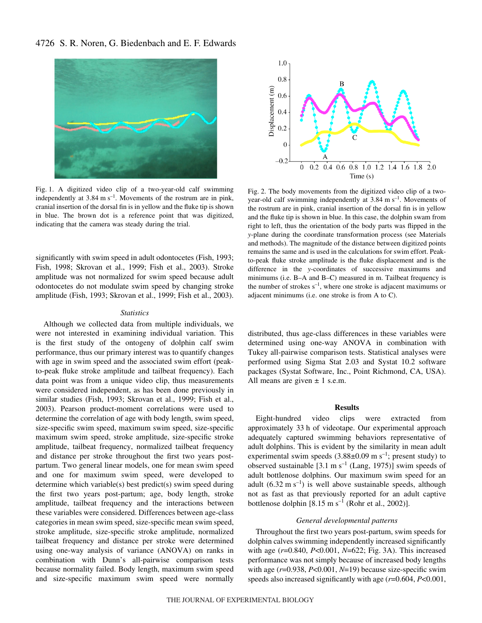# 4726 S. R. Noren, G. Biedenbach and E. F. Edwards



Fig. 1. A digitized video clip of a two-year-old calf swimming independently at  $3.84 \text{ m s}^{-1}$ . Movements of the rostrum are in pink, cranial insertion of the dorsal fin is in yellow and the fluke tip is shown in blue. The brown dot is a reference point that was digitized, indicating that the camera was steady during the trial.

significantly with swim speed in adult odontocetes (Fish, 1993; Fish, 1998; Skrovan et al., 1999; Fish et al., 2003). Stroke amplitude was not normalized for swim speed because adult odontocetes do not modulate swim speed by changing stroke amplitude (Fish, 1993; Skrovan et al., 1999; Fish et al., 2003).

### *Statistics*

Although we collected data from multiple individuals, we were not interested in examining individual variation. This is the first study of the ontogeny of dolphin calf swim performance, thus our primary interest was to quantify changes with age in swim speed and the associated swim effort (peakto-peak fluke stroke amplitude and tailbeat frequency). Each data point was from a unique video clip, thus measurements were considered independent, as has been done previously in similar studies (Fish, 1993; Skrovan et al., 1999; Fish et al., 2003). Pearson product-moment correlations were used to determine the correlation of age with body length, swim speed, size-specific swim speed, maximum swim speed, size-specific maximum swim speed, stroke amplitude, size-specific stroke amplitude, tailbeat frequency, normalized tailbeat frequency and distance per stroke throughout the first two years postpartum. Two general linear models, one for mean swim speed and one for maximum swim speed, were developed to determine which variable(s) best predict(s) swim speed during the first two years post-partum; age, body length, stroke amplitude, tailbeat frequency and the interactions between these variables were considered. Differences between age-class categories in mean swim speed, size-specific mean swim speed, stroke amplitude, size-specific stroke amplitude, normalized tailbeat frequency and distance per stroke were determined using one-way analysis of variance (ANOVA) on ranks in combination with Dunn's all-pairwise comparison tests because normality failed. Body length, maximum swim speed and size-specific maximum swim speed were normally



Fig. 2. The body movements from the digitized video clip of a twoyear-old calf swimming independently at  $3.84 \text{ m s}^{-1}$ . Movements of the rostrum are in pink, cranial insertion of the dorsal fin is in yellow and the fluke tip is shown in blue. In this case, the dolphin swam from right to left, thus the orientation of the body parts was flipped in the *y*-plane during the coordinate transformation process (see Materials and methods). The magnitude of the distance between digitized points remains the same and is used in the calculations for swim effort. Peakto-peak fluke stroke amplitude is the fluke displacement and is the difference in the *y*-coordinates of successive maximums and minimums (i.e. B–A and B–C) measured in m. Tailbeat frequency is the number of strokes  $s^{-1}$ , where one stroke is adjacent maximums or adjacent minimums (i.e. one stroke is from A to C).

distributed, thus age-class differences in these variables were determined using one-way ANOVA in combination with Tukey all-pairwise comparison tests. Statistical analyses were performed using Sigma Stat 2.03 and Systat 10.2 software packages (Systat Software, Inc., Point Richmond, CA, USA). All means are given  $\pm$  1 s.e.m.

## **Results**

Eight-hundred video clips were extracted from approximately 33 h of videotape. Our experimental approach adequately captured swimming behaviors representative of adult dolphins. This is evident by the similarity in mean adult experimental swim speeds  $(3.88\pm0.09 \text{ m s}^{-1})$ ; present study) to observed sustainable  $[3.1 \text{ m s}^{-1}$  (Lang, 1975)] swim speeds of adult bottlenose dolphins. Our maximum swim speed for an adult (6.32 m s<sup>-1</sup>) is well above sustainable speeds, although not as fast as that previously reported for an adult captive bottlenose dolphin  $[8.15 \text{ m s}^{-1}$  (Rohr et al., 2002)].

#### *General developmental patterns*

Throughout the first two years post-partum, swim speeds for dolphin calves swimming independently increased significantly with age ( $r=0.840$ ,  $P<0.001$ ,  $N=622$ ; Fig. 3A). This increased performance was not simply because of increased body lengths with age (*r*=0.938, *P*<0.001, *N*=19) because size-specific swim speeds also increased significantly with age (*r*=0.604, *P*<0.001,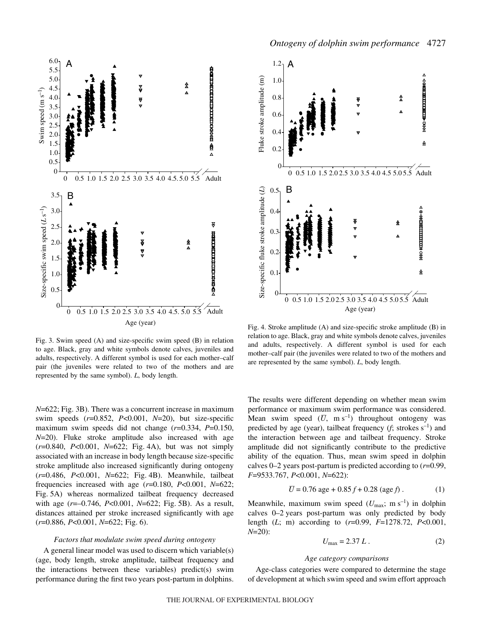

Fig. 3. Swim speed  $(A)$  and size-specific swim speed  $(B)$  in relation to age. Black, gray and white symbols denote calves, juveniles and adults, respectively. A different symbol is used for each mother–calf pair (the juveniles were related to two of the mothers and are represented by the same symbol). *L*, body length.

*N*=622; Fig. 3B). There was a concurrent increase in maximum swim speeds (*r*=0.852, *P*<0.001, *N*=20), but size-specific maximum swim speeds did not change (*r*=0.334, *P*=0.150, *N*=20). Fluke stroke amplitude also increased with age ( $r=0.840$ ,  $P<0.001$ ,  $N=622$ ; Fig. 4A), but was not simply associated with an increase in body length because size-specific stroke amplitude also increased significantly during ontogeny ( $r=0.486$ ,  $P<0.001$ ,  $N=622$ ; Fig. 4B). Meanwhile, tailbeat frequencies increased with age (*r*=0.180, *P*<0.001, *N*=622; Fig. 5A) whereas normalized tailbeat frequency decreased with age ( $r=-0.746$ ,  $P<0.001$ ,  $N=622$ ; Fig. 5B). As a result, distances attained per stroke increased significantly with age ( $r=0.886$ ,  $P<0.001$ ,  $N=622$ ; Fig. 6).

# *Factors that modulate swim speed during ontogeny*

A general linear model was used to discern which variable(s) (age, body length, stroke amplitude, tailbeat frequency and the interactions between these variables) predict(s) swim performance during the first two years post-partum in dolphins.



Fig. 4. Stroke amplitude (A) and size-specific stroke amplitude (B) in relation to age. Black, gray and white symbols denote calves, juveniles and adults, respectively. A different symbol is used for each mother–calf pair (the juveniles were related to two of the mothers and are represented by the same symbol). *L*, body length.

The results were different depending on whether mean swim performance or maximum swim performance was considered. Mean swim speed  $(\overline{U}, \text{ m s}^{-1})$  throughout ontogeny was predicted by age (year), tailbeat frequency  $(f; \text{ strokes } s^{-1})$  and the interaction between age and tailbeat frequency. Stroke amplitude did not significantly contribute to the predictive ability of the equation. Thus, mean swim speed in dolphin calves  $0-2$  years post-partum is predicted according to  $(r=0.99)$ , *F*=9533.767, *P*<0.001, *N*=622):

$$
\overline{U} = 0.76 \text{ age} + 0.85 f + 0.28 \text{ (age } f) . \tag{1}
$$

Meanwhile, maximum swim speed  $(U_{\text{max}}; m s^{-1})$  in dolphin calves  $0-2$  years post-partum was only predicted by body length (*L*; m) according to (*r*=0.99, *F*=1278.72, *P*<0.001, *N*=20):

$$
U_{\text{max}} = 2.37 L. \tag{2}
$$

#### *Age category comparisons*

Age-class categories were compared to determine the stage of development at which swim speed and swim effort approach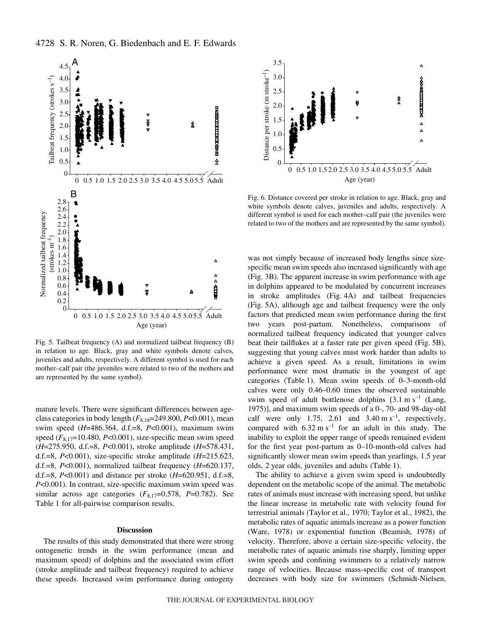

Fig. 5. Tailbeat frequency  $(A)$  and normalized tailbeat frequency  $(B)$ in relation to age. Black, gray and white symbols denote calves, juveniles and adults, respectively. A different symbol is used for each mother–calf pair (the juveniles were related to two of the mothers and are represented by the same symbol).

mature levels. There were significant differences between ageclass categories in body length (*F*8,18=249.800, *P*<0.001), mean swim speed (*H*=486.364, d.f.=8, *P*<0.001), maximum swim speed (*F*8,17=10.480, *P*<0.001), size-specific mean swim speed (*H*=275.950, d.f.=8, *P*<0.001), stroke amplitude (*H*=578.431, d.f.=8, *P*<0.001), size-specific stroke amplitude (*H*=215.623, d.f.=8, *P*<0.001), normalized tailbeat frequency (*H*=620.137, d.f.=8, *P*<0.001) and distance per stroke (*H*=620.951, d.f.=8, *P*<0.001). In contrast, size-specific maximum swim speed was similar across age categories  $(F_{8,17}=0.578, P=0.782)$ . See Table 1 for all-pairwise comparison results.

# **Discussion**

The results of this study demonstrated that there were strong ontogenetic trends in the swim performance (mean and maximum speed) of dolphins and the associated swim effort (stroke amplitude and tailbeat frequency) required to achieve these speeds. Increased swim performance during ontogeny



Fig. 6. Distance covered per stroke in relation to age. Black, gray and white symbols denote calves, juveniles and adults, respectively. A different symbol is used for each mother–calf pair (the juveniles were related to two of the mothers and are represented by the same symbol).

was not simply because of increased body lengths since sizespecific mean swim speeds also increased significantly with age (Fig. 3B). The apparent increase in swim performance with age in dolphins appeared to be modulated by concurrent increases in stroke amplitudes (Fig. 4A) and tailbeat frequencies (Fig. 5A), although age and tailbeat frequency were the only factors that predicted mean swim performance during the first two years post-partum. Nonetheless, comparisons of normalized tailbeat frequency indicated that younger calves beat their tailflukes at a faster rate per given speed (Fig. 5B), suggesting that young calves must work harder than adults to achieve a given speed. As a result, limitations in swim performance were most dramatic in the youngest of age categories (Table 1). Mean swim speeds of 0-3-month-old calves were only 0.46–0.60 times the observed sustainable swim speed of adult bottlenose dolphins  $[3.1 \text{ m s}^{-1}]$  (Lang, 1975)], and maximum swim speeds of a 0-, 70- and 98-day-old calf were only 1.75, 2.61 and 3.40  $\text{m s}^{-1}$ , respectively, compared with  $6.32 \text{ m s}^{-1}$  for an adult in this study. The inability to exploit the upper range of speeds remained evident for the first year post-partum as 0–10-month-old calves had significantly slower mean swim speeds than yearlings, 1.5 year olds, 2 year olds, juveniles and adults (Table 1).

The ability to achieve a given swim speed is undoubtedly dependent on the metabolic scope of the animal. The metabolic rates of animals must increase with increasing speed, but unlike the linear increase in metabolic rate with velocity found for terrestrial animals (Taylor et al., 1970; Taylor et al., 1982), the metabolic rates of aquatic animals increase as a power function (Ware, 1978) or exponential function (Beamish, 1978) of velocity. Therefore, above a certain size-specific velocity, the metabolic rates of aquatic animals rise sharply, limiting upper swim speeds and confining swimmers to a relatively narrow range of velocities. Because mass-specific cost of transport decreases with body size for swimmers (Schmidt-Nielsen,

4728 S. R. Noren, G. Biedenbach and E. F. Edwards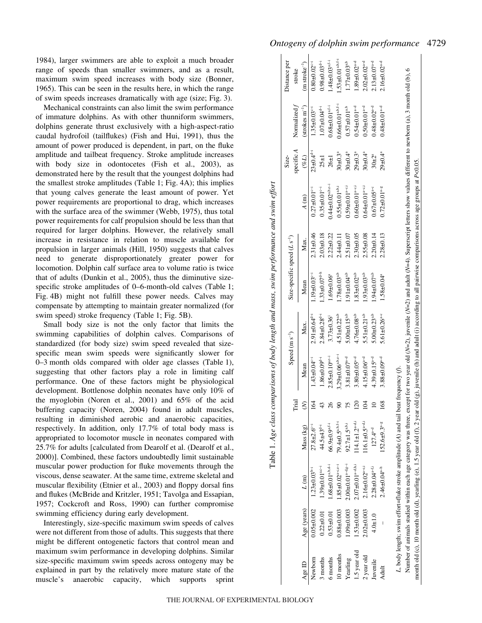1984), larger swimmers are able to exploit a much broader range of speeds than smaller swimmers, and as a result, maximum swim speed increases with body size (Bonner, 1965). This can be seen in the results here, in which the range of swim speeds increases dramatically with age (size; Fig. 3).

Mechanical constraints can also limit the swim performance of immature dolphins. As with other thunniform swimmers, dolphins generate thrust exclusively with a high-aspect-ratio caudal hydrofoil (tailflukes) (Fish and Hui, 1991), thus the amount of power produced is dependent, in part, on the fluke amplitude and tailbeat frequency. Stroke amplitude increases with body size in odontocetes (Fish et al., 2003), as demonstrated here by the result that the youngest dolphins had the smallest stroke amplitudes (Table 1; Fig.  $4A$ ); this implies that young calves generate the least amount of power. Yet power requirements are proportional to drag, which increases with the surface area of the swimmer (Webb, 1975), thus total power requirements for calf propulsion should be less than that required for larger dolphins. However, the relatively small increase in resistance in relation to muscle available for propulsion in larger animals (Hill, 1950) suggests that calves need to generate disproportionately greater power for locomotion. Dolphin calf surface area to volume ratio is twice that of adults (Dunkin et al., 2005), thus the diminutive sizespecific stroke amplitudes of  $0-6$ -month-old calves (Table 1; Fig. 4B) might not fulfill these power needs. Calves may compensate by attempting to maintain greater normalized (for swim speed) stroke frequency (Table 1; Fig. 5B).

Small body size is not the only factor that limits the swimming capabilities of dolphin calves. Comparisons of standardized (for body size) swim speed revealed that sizespecific mean swim speeds were significantly slower for 0-3 month olds compared with older age classes (Table 1), suggesting that other factors play a role in limiting calf performance. One of these factors might be physiological development. Bottlenose dolphin neonates have only 10% of the myoglobin (Noren et al., 2001) and 65% of the acid buffering capacity (Noren, 2004) found in adult muscles, resulting in diminished aerobic and anaerobic capacities, respectively. In addition, only 17.7% of total body mass is appropriated to locomotor muscle in neonates compared with 25.7% for adults [calculated from Dearolf et al. (Dearolf et al., 2000)]. Combined, these factors undoubtedly limit sustainable muscular power production for fluke movements through the viscous, dense seawater. At the same time, extreme skeletal and muscular flexibility (Etnier et al., 2003) and floppy dorsal fins and flukes (McBride and Kritzler, 1951; Tavolga and Essapian, 1957; Cockcroft and Ross, 1990) can further compromise swimming efficiency during early development.

Interestingly, size-specific maximum swim speeds of calves were not different from those of adults. This suggests that there might be different ontogenetic factors that control mean and maximum swim performance in developing dolphins. Similar size-specific maximum swim speeds across ontogeny may be explained in part by the relatively more mature state of the muscle's anaerobic capacity, which supports sprint

|                                                                                                                                                                                                                       |                  |                                                                                          |                               | Trial          |                                    | Speed $(m s-1)$                | Size-specific speed $(L s^{-1})$ |                 |                                    | specific A<br>Size-         | Normalized f                       | Distance per<br>stroke             |
|-----------------------------------------------------------------------------------------------------------------------------------------------------------------------------------------------------------------------|------------------|------------------------------------------------------------------------------------------|-------------------------------|----------------|------------------------------------|--------------------------------|----------------------------------|-----------------|------------------------------------|-----------------------------|------------------------------------|------------------------------------|
| Age ID                                                                                                                                                                                                                | Age (years)      | L(m)                                                                                     | Mass (kg)                     | ξ              | Mean                               | Max.                           | Mean                             | Max.            | A(m)                               | $(\%L)$                     | $(\text{strokes m}^{-1})$          | $(m \; stroke^{-1})$               |
| Newborn                                                                                                                                                                                                               | $0.05 \pm 0.002$ | $1.23 \pm 0.03b-i$                                                                       | $27.8 \pm 2.6$ <sup>c-1</sup> | $\mathcal{L}$  | $1.43 \pm 0.04$ <sup>c-1</sup>     | $2.91 \pm 0.64$ <sup>d-1</sup> | $1.19 + 0.03$ <sup>c-1</sup>     | $2.31 + 0.46$   | $0.27 \pm 0.01$ <sup>e-1</sup>     | $23 \pm 0.4$ <sup>d-1</sup> | $1.35 \pm 0.03$ <sup>c-1</sup>     | $0.80 + 0.02$ <sup>c-1</sup>       |
| months                                                                                                                                                                                                                | $0.22 \pm 0.01$  | $1.39 \pm 0.01^{a \cdot c-1}$                                                            | $44.5 \pm 43^{d-i}$           | 43             | $1.86 \pm 0.09^{d-i}$              | $2.84 \pm 0.28$ <sup>d-i</sup> | $1.33 \pm 0.07^{d-h}$            | $2.03 + 0.18$   | $0.35 \pm 0.01$ <sup>e-1</sup>     | $25 \pm 1$                  | $1.07 \pm 0.04^{d-i}$              | $0.98 \pm 0.03$ <sup>d-i</sup>     |
| i months                                                                                                                                                                                                              | $0.53 + 0.01$    | $1.68 \pm 0.01^{a,b,d-i}$                                                                | $66.9 \pm 0.9^{\text{a.f-i}}$ | 26             | $2.85 \pm 0.10^{a.e-1}$            | $3.73 \pm 0.36$                | $1.69 \pm 0.06$ <sup>a</sup>     | $2.22 + 0.22$   | $0.44 \pm 0.02$ <sup>a,b,e-i</sup> | $26\pm1$                    | $0.68 \pm 0.01a.f-i$               | $1.48 \pm 0.03$ <sup>a,f-i</sup>   |
| 0 months                                                                                                                                                                                                              | $0.88 + 0.003$   | $1.85 \pm 0.02$ <sup>a-c,e-i</sup>                                                       | 79.4±0.5 <sup>a,b,f-i</sup>   | $\mathcal{S}$  | $3.29 \pm 0.06$ <sup>a,b,e-i</sup> | $4.51 \pm 0.22$ <sup>a,b</sup> | $1.78 \pm 0.03$ <sup>a,b</sup>   | $2.44 + 0.11$   | $0.55 \pm 0.01^{a,b,i}$            | $30 \pm 0.3$ <sup>a</sup>   | $0.66 \pm 0.01$ <sup>a,b,f-i</sup> | 1.53 $\pm$ 0.01 <sup>a,b,f-i</sup> |
| <i>l</i> earling                                                                                                                                                                                                      | $1.09 + 0.003$   | $2.00 \pm 0.01$ <sup>a-d.g-i</sup>                                                       | $92.7 \pm 1.5^{a.b.i}$        |                | $3.81 \pm 0.07a-d$                 | $5.00 \pm 0.15^{a,b}$          | $1.91 \pm 0.04$ <sup>a,b</sup>   | $2.51 + 0.07$   | $0.59 \pm 0.01^{a-c,i}$            | $30 \pm 0.4$ <sup>a</sup>   | $0.57 \pm 0.01$ <sup>a,b</sup>     | $1.77 \pm 0.03$ <sup>a,b</sup>     |
| .5 year old                                                                                                                                                                                                           | $1.53 + 0.002$   | $2.07 \pm 0.01$ <sup>a-d,h,i</sup>                                                       | $14.1 \pm 1.2^{a-d,i}$        | $\overline{c}$ | $3.80 \pm 0.05^{a-d}$              | $4.76 \pm 0.08$ <sup>a,b</sup> | $1.83 \pm 0.02$ <sup>a,b</sup>   | $2.30 + 0.05$   | $0.60 \pm 0.01^{a-c.i}$            | $29 \pm 0.3$ <sup>a</sup>   | $0.54 \pm 0.01$ <sup>a-d</sup>     | $1.89 \pm 0.02$ <sup>a-d</sup>     |
| year old                                                                                                                                                                                                              | $2.02 \pm 0.003$ | $2.16 \pm 0.02$ <sup>a-e,i</sup>                                                         | $116.1 \pm 0.5^{a-d,i}$       | $\beta$        | $4.15 \pm 0.06$ <sup>a-d</sup>     | $5.51 \pm 0.21$ <sup>a,b</sup> | $1.93 \pm 0.03$ <sup>a,b</sup>   | $2.55 + 0.08$   | $0.64 \pm 0.01^{a-c,i}$            | $30 \pm 0.4$ <sup>a</sup>   | $0.50 \pm 0.01$ <sup>a-d</sup>     | $2.02 \pm 0.02$ <sup>a-d</sup>     |
| Juvenile                                                                                                                                                                                                              | $4.0 + 1.0$      | $2.28 \pm 0.04^{a-f,i}$                                                                  | $127.4^{a-d}$                 | $\approx$      | $4.39 \pm 0.15$ <sup>a-d</sup>     | $5.00 \pm 0.23$ <sup>a,b</sup> | $1.94 \pm 0.07^{a,b}$            | $2.20 \pm 0.14$ | $0.67 \pm 0.05$ <sup>a-c</sup>     | $30 + 2^{a}$                | $0.48 \pm 0.02$ <sup>a-d</sup>     | $2.13 \pm 0.07a-d$                 |
| Adult                                                                                                                                                                                                                 |                  | $2.46 \pm 0.04$ <sup>a-h</sup>                                                           | $152.6 + 9.3$ <sup>a-g</sup>  | 68             | $3.88 \pm 0.09$ <sup>a-d</sup>     | $5.61 \pm 0.26$ <sup>a-c</sup> | $1.58 \pm 0.04$ <sup>a</sup>     | $2.28 + 0.13$   | $0.72 \pm 0.01^{a-g}$              | $29 \pm 0.4$ <sup>a</sup>   | $0.48 \pm 0.01^{a-d}$              | $2.16 \pm 0.02$ <sup>a-d</sup>     |
| Number of animals studied within each age category was three, except for two year old ( $N=2$ ), juvenile ( $N=2$ ) and adult ( $N=4$ ). Superscript letters show values different to newborn (a), 3 month old (b), 6 |                  | L, body length; swim effort=fluke stroke amplitude $(A)$ and tail beat frequency $(f)$ . |                               |                |                                    |                                |                                  |                 |                                    |                             |                                    |                                    |

month old (c), 10 month old (d), yearling (e), 1.5 year old (f), 2 year old (g), juvenile (h) and adult (i) according to all pairwise comparisons across age groups at month old (c), 10 month old (d), yearling (e), 1.5 year old (f), 2 year old (g), juvenile (h) and adult (i) according to all pairwise comparisons across age groups at P<0.05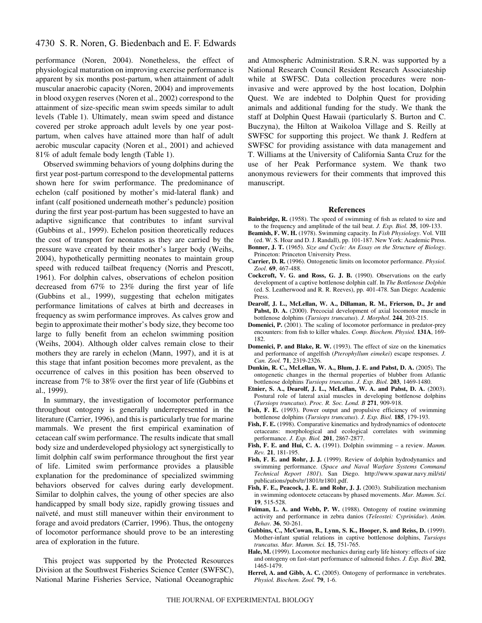# 4730 S. R. Noren, G. Biedenbach and E. F. Edwards

performance (Noren, 2004). Nonetheless, the effect of physiological maturation on improving exercise performance is apparent by six months post-partum, when attainment of adult muscular anaerobic capacity (Noren, 2004) and improvements in blood oxygen reserves (Noren et al., 2002) correspond to the attainment of size-specific mean swim speeds similar to adult levels (Table 1). Ultimately, mean swim speed and distance covered per stroke approach adult levels by one year postpartum, when calves have attained more than half of adult aerobic muscular capacity (Noren et al., 2001) and achieved 81% of adult female body length (Table 1).

Observed swimming behaviors of young dolphins during the first year post-partum correspond to the developmental patterns shown here for swim performance. The predominance of echelon (calf positioned by mother's mid-lateral flank) and infant (calf positioned underneath mother's peduncle) position during the first year post-partum has been suggested to have an adaptive significance that contributes to infant survival (Gubbins et al., 1999). Echelon position theoretically reduces the cost of transport for neonates as they are carried by the pressure wave created by their mother's larger body (Weihs, 2004), hypothetically permitting neonates to maintain group speed with reduced tailbeat frequency (Norris and Prescott, 1961). For dolphin calves, observations of echelon position decreased from 67% to 23% during the first year of life (Gubbins et al., 1999), suggesting that echelon mitigates performance limitations of calves at birth and decreases in frequency as swim performance improves. As calves grow and begin to approximate their mother's body size, they become too large to fully benefit from an echelon swimming position (Weihs, 2004). Although older calves remain close to their mothers they are rarely in echelon (Mann, 1997), and it is at this stage that infant position becomes more prevalent, as the occurrence of calves in this position has been observed to increase from 7% to 38% over the first year of life (Gubbins et al., 1999).

In summary, the investigation of locomotor performance throughout ontogeny is generally underrepresented in the literature (Carrier, 1996), and this is particularly true for marine mammals. We present the first empirical examination of cetacean calf swim performance. The results indicate that small body size and underdeveloped physiology act synergistically to limit dolphin calf swim performance throughout the first year of life. Limited swim performance provides a plausible explanation for the predominance of specialized swimming behaviors observed for calves during early development. Similar to dolphin calves, the young of other species are also handicapped by small body size, rapidly growing tissues and naïveté, and must still maneuver within their environment to forage and avoid predators (Carrier, 1996). Thus, the ontogeny of locomotor performance should prove to be an interesting area of exploration in the future.

This project was supported by the Protected Resources Division at the Southwest Fisheries Science Center (SWFSC), National Marine Fisheries Service, National Oceanographic and Atmospheric Administration. S.R.N. was supported by a National Research Council Resident Research Associateship while at SWFSC. Data collection procedures were noninvasive and were approved by the host location, Dolphin Quest. We are indebted to Dolphin Quest for providing animals and additional funding for the study. We thank the staff at Dolphin Quest Hawaii (particularly S. Burton and C. Buczyna), the Hilton at Waikoloa Village and S. Reilly at SWFSC for supporting this project. We thank J. Redfern at SWFSC for providing assistance with data management and T. Williams at the University of California Santa Cruz for the use of her Peak Performance system. We thank two anonymous reviewers for their comments that improved this manuscript.

#### **References**

- **Bainbridge, R.** (1958). The speed of swimming of fish as related to size and to the frequency and amplitude of the tail beat. *J. Exp. Biol.* **35**, 109-133.
- **Beamish, F. W. H.** (1978). Swimming capacity. In *Fish Physiology*. Vol. VIII (ed. W. S. Hoar and D. J. Randall), pp. 101-187. New York: Academic Press.
- **Bonner, J. T.** (1965). *Size and Cycle: An Essay on the Structure of Biology*. Princeton: Princeton University Press.
- **Carrier, D. R.** (1996). Ontogenetic limits on locomotor performance. *Physiol. Zool*. **69**, 467-488.
- **Cockcroft, V. G. and Ross, G. J. B.** (1990). Observations on the early development of a captive bottlenose dolphin calf. In *The Bottlenose Dolphin* (ed. S. Leatherwood and R. R. Reeves), pp. 401-478. San Diego: Academic Press.
- **Dearolf, J. L., McLellan, W. A., Dillaman, R. M., Frierson, D., Jr and** Pabst, D. A. (2000). Precocial development of axial locomotor muscle in bottlenose dolphins (*Tursiops truncatus*). *J. Morphol*. **244**, 203-215.
- **Domenici, P.** (2001). The scaling of locomotor performance in predator-prey encounters: from fish to killer whales. *Comp. Biochem. Physiol.* **131A**, 169- 182.
- **Domenici, P. and Blake, R. W.** (1993). The effect of size on the kinematics and performance of angelfish (*Pterophyllum eimekei*) escape responses. *J. Can. Zool.* **71**, 2319-2326.
- **Dunkin, R. C., McLellan, W. A., Blum, J. E. and Pabst, D. A.** (2005). The ontogenetic changes in the thermal properties of blubber from Atlantic bottlenose dolphins *Tursiops truncatus*. *J. Exp. Biol.* **203**, 1469-1480.
- **Etnier, S. A., Dearolf, J. L., McLellan, W. A. and Pabst, D. A.** (2003). Postural role of lateral axial muscles in developing bottlenose dolphins (*Tursiops truncatus*). *Proc. R. Soc. Lond. B* **271**, 909-918.
- Fish, F. E. (1993). Power output and propulsive efficiency of swimming bottlenose dolphins (*Tursiops truncatus*). *J. Exp. Biol.* **185**, 179-193.
- **Fish, F. E.** (1998). Comparative kinematics and hydrodynamics of odontocete cetaceans: morphological and ecological correlates with swimming performance. *J. Exp. Biol.* **201**, 2867-2877.
- **Fish, F. E. and Hui, C. A.** (1991). Dolphin swimming a review. *Mamm. Rev.* **21**, 181-195.
- **Fish, F. E. and Rohr, J. J.** (1999). Review of dolphin hydrodynamics and swimming performance. (*Space and Naval Warfare Systems Command Technical Report 1801*). San Diego. http://www.spawar.navy.mil/sti/ publications/pubs/tr/1801/tr1801.pdf.
- **Fish, F. E., Peacock, J. E. and Rohr, J. J.** (2003). Stabilization mechanism in swimming odontocete cetaceans by phased movements. *Mar. Mamm. Sci*. **19**, 515-528.
- **Fuiman, L. A. and Webb, P. W.** (1988). Ontogeny of routine swimming activity and performance in zebra danios (*Teleostei: Cyprinidae*). *Anim. Behav.* **36**, 50-261.
- **Gubbins, C., McCowan, B., Lynn, S. K., Hooper, S. and Reiss, D.** (1999). Mother-infant spatial relations in captive bottlenose dolphins, *Tursiops truncatus. Mar. Mamm. Sci.* **15**, 751-765.
- **Hale, M.** (1999). Locomotor mechanics during early life history: effects of size and ontogeny on fast-start performance of salmonid fishes. *J. Exp. Biol.* **202**, 1465-1479.
- **Herrel, A. and Gibb, A. C.** (2005). Ontogeny of performance in vertebrates. *Physiol. Biochem. Zool.* **79**, 1-6.